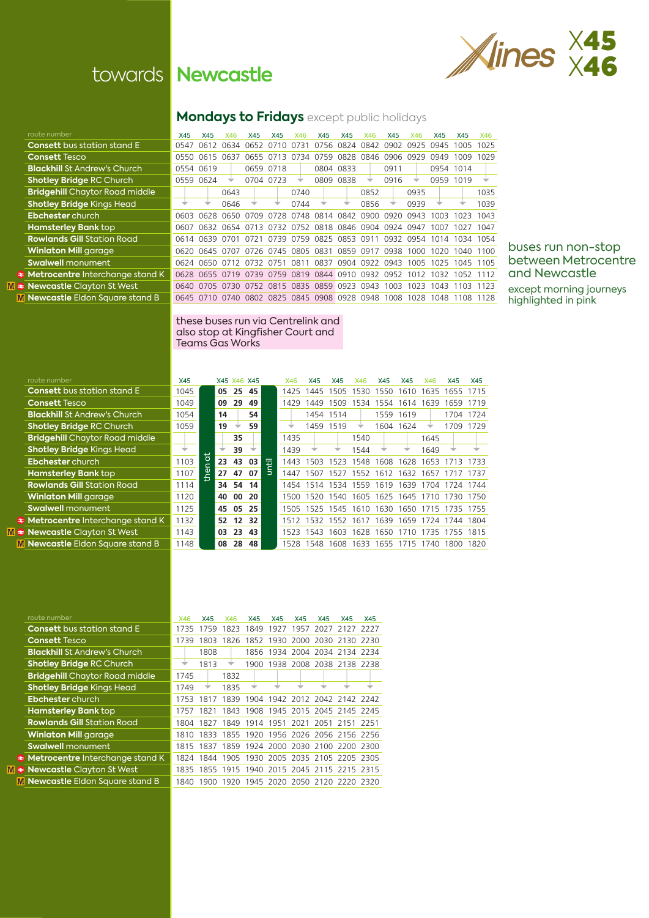Ebchester church **Hamsterley Bank top Rowlands Gill Station Road Winlaton Mill garage Swalwell** monument **Metrocentre** Interchange stand **M a** Newcastle Clayton St West **M** Newcastle Eldon Square stand

**Ebchester** church **Hamsterley Bank Rowlands Gill Station Rowlands Winlaton Mill gard Swalwell monume Metrocentre Inter M & Newcastle Clayte M** Newcastle Eldon

### **Mondays to Fridays** except public holidays

| route number                          | X45  | X45       | X46                                                                   | X45       | X45       | X46                                     | X45       | X45            | X46  | X45  | X46                 | X45                 | X45       | X46  |
|---------------------------------------|------|-----------|-----------------------------------------------------------------------|-----------|-----------|-----------------------------------------|-----------|----------------|------|------|---------------------|---------------------|-----------|------|
| <b>Consett</b> bus station stand E    | 0547 | 0612      | 0634 0652                                                             |           | 0710      | 0731                                    | 0756      | 0824 0842      |      | 0902 | 0925                | 0945                | 1005      | 1025 |
| <b>Consett Tesco</b>                  | 0550 | 0615      | 0637                                                                  | 0655      | 0713      | 0734                                    | 0759      | 0828 0846      |      | 0906 | 0929                | 0949                | 1009      | 1029 |
| <b>Blackhill St Andrew's Church</b>   |      | 0554 0619 |                                                                       |           | 0659 0718 |                                         | 0804 0833 |                |      | 0911 |                     |                     | 0954 1014 |      |
| <b>Shotley Bridge RC Church</b>       |      | 0559 0624 | ₩                                                                     | 0704 0723 |           |                                         | 0809      | 0838           | ▼    | 0916 |                     | 0959 1019           |           |      |
| <b>Bridgehill</b> Chaytor Road middle |      |           | 0643                                                                  |           |           | 0740                                    |           |                | 0852 |      | 0935                |                     |           | 1035 |
| <b>Shotley Bridge Kings Head</b>      | ÷    |           | 0646                                                                  |           |           | 0744                                    |           |                | 0856 |      | 0939                | ▼                   |           | 1039 |
| <b>Ebchester</b> church               | 6603 | 0628      | 0650                                                                  | 0709      | 0728      | 0748 0814                               |           | 0842           | 0900 | 0920 | 0943                | 1003                | 1023      | 1043 |
| <b>Hamsterley Bank top</b>            | 0607 |           | 0632 0654 0713 0732 0752 0818 0846 0904 0924 0947                     |           |           |                                         |           |                |      |      |                     | 1007                | 1027 1047 |      |
| <b>Rowlands Gill</b> Station Road     |      |           | 0614 0639 0701 0721 0739 0759 0825 0853 0911                          |           |           |                                         |           |                |      | 0932 | 0954 1014 1034 1054 |                     |           |      |
| <b>Winlaton Mill</b> garage           |      |           | 0620 0645 0707 0726 0745 0805 0831 0859 0917 0938                     |           |           |                                         |           |                |      |      |                     | 1000 1020 1040 1100 |           |      |
| <b>Swalwell</b> monument              |      | 0624 0650 | 0712 0732 0751                                                        |           |           |                                         | 0811 0837 | 0904 0922 0943 |      |      | 1005                | 1025                | 1045 1105 |      |
| Metrocentre Interchange stand K       |      |           | 0628 0655 0719 0739 0759 0819 0844 0910 0932 0952 1012 1032 1052 1112 |           |           |                                         |           |                |      |      |                     |                     |           |      |
| <b>Newcastle Clayton St West</b>      | 0640 | 0705      | 0730                                                                  |           |           | 0752 0815 0835 0859 0923 0943           |           |                |      | 1003 | 1023                | 1043                | 1103      | 1123 |
| Newcastle Eldon Square stand B        |      | 0645 0710 |                                                                       |           |           | 0740 0802 0825 0845 0908 0928 0948 1008 |           |                |      |      |                     | 1028 1048 1108 1128 |           |      |
|                                       |      |           |                                                                       |           |           |                                         |           |                |      |      |                     |                     |           |      |

### buses run non-stop between Metrocentre and Newcastle except morning journeys highlighted in pink

### these buses run via Centrelink and also stop at Kingfisher Court and Teams Gas Works

| route number                          | X45  |    |    | X45 X46 X45 |     |   | X46   | X45       | X45                           | X46  | X45       | X45       | X46   | X45  | X45  |
|---------------------------------------|------|----|----|-------------|-----|---|-------|-----------|-------------------------------|------|-----------|-----------|-------|------|------|
| <b>Consett</b> bus station stand E    | 1045 |    | 05 | 25          | 45  |   | 1425  | 1445      | 1505                          | 1530 | 1550      | 1610      | 635   | 1655 | 1715 |
| <b>Consett Tesco</b>                  | 1049 |    | 09 | 29          | 49  |   | 1429  | 1449      | 1509                          | 1534 |           | 1554 1614 | 1639  | 1659 | 1719 |
| <b>Blackhill St Andrew's Church</b>   | 1054 |    | 14 |             | 54  |   |       |           | 1454 1514                     |      |           | 1559 1619 |       | 1704 | 1724 |
| <b>Shotley Bridge RC Church</b>       | 1059 |    | 19 |             | 59  |   |       |           | 1459 1519                     |      |           | 1604 1624 |       | 1709 | 1729 |
| <b>Bridgehill</b> Chaytor Road middle |      |    |    | 35          |     |   | 1435  |           |                               | 1540 |           |           | 1645  |      |      |
| <b>Shotley Bridge Kings Head</b>      | ÷    |    |    | 39          |     |   | 1439  |           |                               | 1544 |           |           | 1649  |      |      |
| <b>Ebchester</b> church               | 1103 | ã  | 23 | 43 03       |     | 7 | 1443  | 1503      | 523                           | 1548 | 1608      | 1628      | 1653. |      | 1733 |
| <b>Hamsterley Bank top</b>            | 1107 | ۹Ā | 27 | 47          | 07  |   | 1447  | 1507      | 1527 1552                     |      | 1612      | 1632      | 1657  |      | 1737 |
| <b>Rowlands Gill Station Road</b>     | 1114 |    |    | 34 54       | 14  |   | 1454  | 1514      | 1534 1559                     |      | 1619      | 1639      | 1704  | 1724 | 1744 |
| <b>Winlaton Mill garage</b>           | 1120 |    | 40 | 00          | 20  |   | 1500. |           | 1520 1540 1605 1625 1645 1710 |      |           |           |       | 1730 | 1750 |
| <b>Swalwell monument</b>              | 1125 |    | 45 | 05          | -25 |   |       |           | 1505 1525 1545 1610           |      | 1630 1650 |           | 1715  | 1735 | 1755 |
| Metrocentre Interchange stand K       | 1132 |    |    | 52 12 32    |     |   |       | 1512 1532 | 1552                          | 1617 | 1639      | 1659      | 1724  | 1744 | 1804 |
| <b>Newcastle Clayton St West</b>      | 1143 |    | 03 | 23          | 43  |   | 1523  | 1543      | 1603                          | 1628 | 1650      | 1710      | 1735  | 1755 | 1815 |
| <b>Newcastle Eldon Square stand B</b> | 1148 |    | 08 | 28          | 48  |   | 1528  | 1548      | 1608                          | 1633 | 1655      | 1715      | 1740  | 1800 | 1820 |

| route number                          | X46  | X45       | X46  | <b>X45</b> | X45 | X45 | X45                                          | X45 | X45 |
|---------------------------------------|------|-----------|------|------------|-----|-----|----------------------------------------------|-----|-----|
| <b>Consett</b> bus station stand E    |      | 1735 1759 |      |            |     |     | 1823 1849 1927 1957 2027 2127 2227           |     |     |
| <b>Consett Tesco</b>                  | 1739 | 1803      | 1826 |            |     |     | 1852 1930 2000 2030 2130 2230                |     |     |
| <b>Blackhill St Andrew's Church</b>   |      | 1808      |      |            |     |     | 1856 1934 2004 2034 2134 2234                |     |     |
| <b>Shotley Bridge RC Church</b>       |      | 1813      |      |            |     |     | 1900 1938 2008 2038 2138 2238                |     |     |
| <b>Bridgehill</b> Chaytor Road middle | 1745 |           | 1832 |            |     |     |                                              |     |     |
| <b>Shotley Bridge Kings Head</b>      | 1749 |           | 1835 |            |     |     |                                              |     |     |
| <b>Ebchester</b> church               | 1753 | 1817      |      |            |     |     | 1839 1904 1942 2012 2042 2142 2242           |     |     |
| <b>Hamsterley Bank top</b>            |      |           |      |            |     |     | 1757 1821 1843 1908 1945 2015 2045 2145 2245 |     |     |
| <b>Rowlands Gill Station Road</b>     |      |           |      |            |     |     | 1804 1827 1849 1914 1951 2021 2051 2151 2251 |     |     |
| <b>Winlaton Mill</b> garage           |      |           |      |            |     |     | 1810 1833 1855 1920 1956 2026 2056 2156 2256 |     |     |
| <b>Swalwell</b> monument              |      |           |      |            |     |     | 1815 1837 1859 1924 2000 2030 2100 2200 2300 |     |     |
| Metrocentre Interchange stand K       |      |           |      |            |     |     | 1824 1844 1905 1930 2005 2035 2105 2205 2305 |     |     |
| <b>Newcastle</b> Clayton St West      |      |           |      |            |     |     | 1835 1855 1915 1940 2015 2045 2115 2215 2315 |     |     |
| Newcastle Eldon Square stand B        |      |           |      |            |     |     | 1840 1900 1920 1945 2020 2050 2120 2220 2320 |     |     |

# towards **Newcastle**

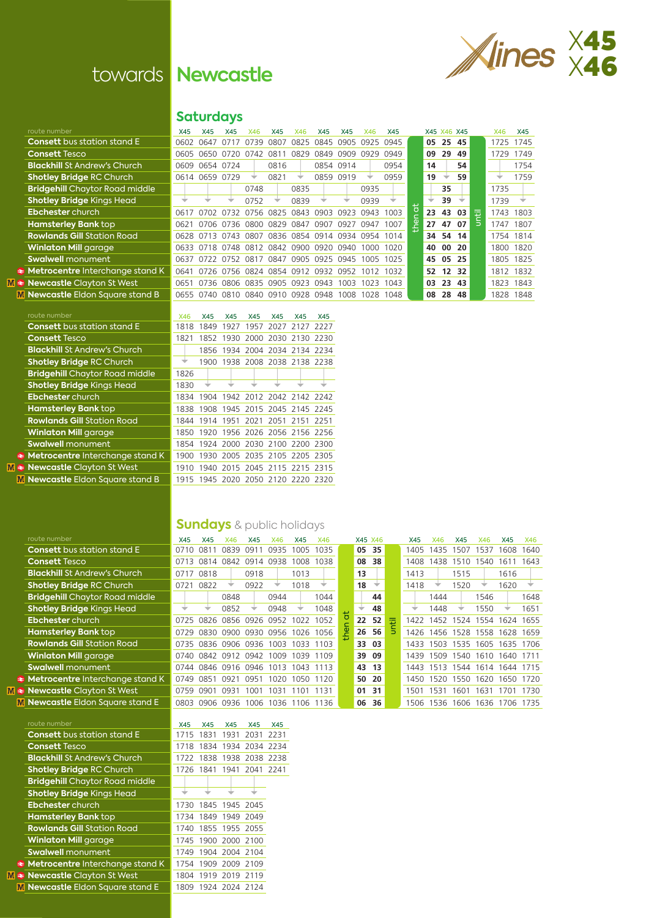

# towards **Newcastle**

**Saturdays**

**Consett** bus station stand E **Consett Tesco Blackhill St Andrew's Church Shotley Bridge RC Church Bridgehill Chaytor Road middle | 1858 | 1858 | 1858 | 1858 | 1858 | 1858 | 1858 | 1858 | 1858 x 0839 x 1739 x 1739 x 1739 x 1739 x 1739 x 1739 x 1739 x 1739 x 1739 x 1739 x 1739 x 1739 x 1739 x 1739 x 1739 x 1739 x 1739 x**  $Ebber$  church **Hamsterley Bank top**  $Rowlands Gill Station Road$ **Winlaton Mill garage Swalwell monument**  $\rightarrow$  Metrocentre Interchange stand K **M**  $\triangle$  **Newcastle** Clayton St West **M** Newcastle Eldon Square stand B

| <b>Consett</b> bus station stand E     |
|----------------------------------------|
| <b>Consett Tesco</b>                   |
| <b>Blackhill St Andrew's Church</b>    |
| <b>Shotley Bridge RC Church</b>        |
| <b>Bridgehill</b> Chaytor Road middle  |
| <b>Shotley Bridge Kings Head</b>       |
| <b>Ebchester</b> church                |
| <b>Hamsterley Bank top</b>             |
| <b>Rowlands Gill Station Road</b>      |
| <b>Winlaton Mill garage</b>            |
| <b>Swalwell</b> monument               |
| <b>Metrocentre</b> Interchange stand k |

**M ≥** Newcastle Clayton St West

**M** Newcastle Eldon Square stand B

| <b>Consett</b> bus station stand E     |
|----------------------------------------|
| <b>Consett Tesco</b>                   |
| <b>Blackhill St Andrew's Church</b>    |
| <b>Shotley Bridge RC Church</b>        |
| <b>Bridgehill</b> Chaytor Road middle  |
| <b>Shotley Bridge Kings Head</b>       |
| <b>Ebchester</b> church                |
| <b>Hamsterley Bank top</b>             |
| <b>Rowlands Gill Station Road</b>      |
| <b>Winlaton Mill garage</b>            |
| <b>Swalwell</b> monument               |
| <b>Metrocentre</b> Interchange stand K |
|                                        |

**M**  $\triangleq$  **Newcastle** Clayton St West **M** Newcastle Eldon Square stand E

### **route number National Contract Contract Contract Contract Contract Contract Contract Contract Contract Contract Contract Contract Contract Contract Contract Contract Contract Contract Contract Contract Contract Contract C**

 $\overline{\mathbf{M}}$ 

| <b>Consett</b> bus station stand E         | 1715 | 1831                |                | 1931 2031                | 2231 |
|--------------------------------------------|------|---------------------|----------------|--------------------------|------|
| <b>Consett Tesco</b>                       | 1718 |                     |                | 1834 1934 2034 2234      |      |
| <b>Blackhill St Andrew's Church</b>        | 1722 | 1838                |                | 1938 2038 2238           |      |
| <b>Shotley Bridge RC Church</b>            |      |                     |                | 1726 1841 1941 2041 2241 |      |
| <b>Bridgehill</b> Chaytor Road middle      |      |                     |                |                          |      |
| <b>Shotley Bridge Kings Head</b>           |      |                     |                |                          |      |
| <b>Ebchester</b> church                    | 1730 | 1845 1945 2045      |                |                          |      |
| <b>Hamsterley Bank top</b>                 | 1734 |                     | 1849 1949 2049 |                          |      |
| <b>Rowlands Gill Station Road</b>          | 1740 |                     | 1855 1955 2055 |                          |      |
| <b>Winlaton Mill garage</b>                |      | 1745 1900 2000 2100 |                |                          |      |
| <b>Swalwell monument</b>                   | 1749 | 1904 2004 2104      |                |                          |      |
| $\epsilon$ Metrocentre Interchange stand K | 1754 | 1909 2009 2109      |                |                          |      |
| $\bullet$ Newcastle Clayton St West        | 1804 |                     | 1919 2019 2119 |                          |      |
| La Newcastle Eldon Square stand E          |      | 1809 1924 2024 2124 |                |                          |      |

| route number                          | X45  | X45            | X45       | X46                                               | X45  | <b>X46</b> | X45  | X45       | X46                 | X45       |   |    | X45 X46 X45 |     |   | X46      | X45 |
|---------------------------------------|------|----------------|-----------|---------------------------------------------------|------|------------|------|-----------|---------------------|-----------|---|----|-------------|-----|---|----------|-----|
| <b>Consett</b> bus station stand E    | 0602 | 0647           | 0717      | 0739                                              | 0807 | 0825       |      |           | 0845 0905 0925 0945 |           |   | 05 | 25 45       |     |   | 1725     | 174 |
| <b>Consett Tesco</b>                  | 0605 | 0650           | 0720      | 0742                                              | 0811 | 0829       | 0849 | 0909      | 0929                | 0949      |   | 09 | 29          | -49 |   | 1729     | 174 |
| <b>Blackhill St Andrew's Church</b>   |      | 0609 0654 0724 |           |                                                   | 0816 |            |      | 0854 0914 |                     | 0954      |   | 14 |             | 54  |   |          | 175 |
| <b>Shotley Bridge RC Church</b>       |      | 0614 0659 0729 |           |                                                   | 0821 |            |      | 0859 0919 |                     | 0959      |   | 19 |             | 59  |   |          | 175 |
| <b>Bridgehill</b> Chaytor Road middle |      |                |           | 0748                                              |      | 0835       |      |           | 0935                |           |   |    | 35          |     |   | 1735     |     |
| <b>Shotley Bridge Kings Head</b>      |      |                |           | 0752                                              |      | 0839       |      |           | 0939                |           |   |    | 39          |     |   | 1739     |     |
| <b>Ebchester</b> church               | 0617 |                | 0702 0732 | 0756 0825 0843                                    |      |            | 0903 | 0923      | 0943 1003           |           | ಕ | 23 | 43 03       |     | 击 | 1743 180 |     |
| <b>Hamsterley Bank top</b>            | 0621 |                |           | 0706 0736 0800 0829 0847                          |      |            | 0907 | 0927      | 0947                | 1007      | ዎ | 27 | 47 07       |     |   | 1747 180 |     |
| <b>Rowlands Gill</b> Station Road     |      |                |           | 0628 0713 0743 0807 0836 0854 0914 0934 0954 1014 |      |            |      |           |                     |           |   |    | 34 54 14    |     |   | 1754 181 |     |
| <b>Winlaton Mill</b> garage           |      |                |           | 0633 0718 0748 0812 0842 0900 0920 0940           |      |            |      |           |                     | 1000 1020 |   | 40 | $00\,20$    |     |   | 1800 182 |     |
| <b>Swalwell</b> monument              |      |                |           | 0637 0722 0752 0817 0847 0905 0925 0945 1005 1025 |      |            |      |           |                     |           |   | 45 | 05 25       |     |   | 1805 182 |     |
| Metrocentre Interchange stand K       | 0641 |                |           | 0726 0756 0824 0854 0912 0932                     |      |            |      |           | 0952 1012 1032      |           |   | 52 | 12 32       |     |   | 1812 183 |     |
| <b>Newcastle</b> Clayton St West      | 0651 |                |           | 0736 0806 0835 0905 0923 0943 1003 1023 1043      |      |            |      |           |                     |           |   | 03 | 23 43       |     |   | 1823 184 |     |
| Newcastle Eldon Square stand B        |      |                |           | 0655 0740 0810 0840 0910 0928 0948                |      |            |      | 1008      | 1028 1048           |           |   | 08 | 28 48       |     |   | 1828 184 |     |
|                                       |      |                |           |                                                   |      |            |      |           |                     |           |   |    |             |     |   |          |     |

|         |    | X45 X46 | X45 |             | X46  | X45  |
|---------|----|---------|-----|-------------|------|------|
|         | 05 | 25      | 45  |             | 1725 | 1745 |
|         | 09 | 29      | 49  |             | 1729 | 1749 |
|         | 14 |         | 54  |             |      | 1754 |
|         | 19 |         | 59  |             |      | 1759 |
|         |    | 35      |     |             | 1735 |      |
|         |    | 39      |     |             | 1739 |      |
| then at | 23 | 43      | 03  | is<br>Intil | 1743 | 1803 |
|         | 27 | 47      | 07  |             | 1747 | 1807 |
|         | 34 | 54      | 14  |             | 1754 | 1814 |
|         | 40 | 00      | 20  |             | 1800 | 1820 |
|         | 45 | 05      | 25  |             | 1805 | 1825 |
|         | 52 | 12      | 32  |             | 1812 | 1832 |
|         | 03 | 23      | 43  |             | 1823 | 1843 |
|         | 08 | 28      | 48  |             | 1828 | 1848 |

| route number                          | X46   | X45  | X45  | X45                                | X45  | <b>X45</b>          | <b>X45</b> |
|---------------------------------------|-------|------|------|------------------------------------|------|---------------------|------------|
| <b>Consett</b> bus station stand E    | 1818  | 1849 | 1927 | 1957                               | 2027 | 2127 2227           |            |
| <b>Consett Tesco</b>                  | 1821  | 1852 | 1930 |                                    |      | 2000 2030 2130 2230 |            |
| <b>Blackhill St Andrew's Church</b>   |       |      |      | 1856 1934 2004 2034 2134 2234      |      |                     |            |
| <b>Shotley Bridge RC Church</b>       |       | 1900 |      | 1938 2008 2038 2138 2238           |      |                     |            |
| <b>Bridgehill</b> Chaytor Road middle | 1826  |      |      |                                    |      |                     |            |
| <b>Shotley Bridge Kings Head</b>      | 1830  |      |      |                                    |      |                     |            |
| <b>Ebchester</b> church               | 1834  |      |      | 1904 1942 2012 2042 2142 2242      |      |                     |            |
| <b>Hamsterley Bank top</b>            | 1838  |      |      | 1908 1945 2015 2045 2145 2245      |      |                     |            |
| <b>Rowlands Gill</b> Station Road     | 1844  | 1914 |      | 1951 2021 2051 2151 2251           |      |                     |            |
| <b>Winlaton Mill</b> garage           |       |      |      | 1850 1920 1956 2026 2056 2156 2256 |      |                     |            |
| <b>Swalwell</b> monument              |       |      |      | 1854 1924 2000 2030 2100 2200 2300 |      |                     |            |
| Metrocentre Interchange stand K       | 1900  |      |      | 1930 2005 2035 2105 2205 2305      |      |                     |            |
| <b>Newcastle Clayton St West</b>      | 1910. |      |      | 1940 2015 2045 2115 2215 2315      |      |                     |            |
| Newcastle Eldon Square stand B        |       |      |      | 1915 1945 2020 2050 2120 2220 2320 |      |                     |            |
|                                       |       |      |      |                                    |      |                     |            |

## **Sundays** & public holidays

| route number                          | X45  | X45                                | X46                           | X45       | <b>X46</b> | X45       | <b>X46</b> |     | X45 X46 |    |   | X45   | X46                           | X45            | X46       | <b>X45</b> | X46  |
|---------------------------------------|------|------------------------------------|-------------------------------|-----------|------------|-----------|------------|-----|---------|----|---|-------|-------------------------------|----------------|-----------|------------|------|
| <b>Consett</b> bus station stand E    | 0710 | 0811                               | 0839                          | 0911      | 0935       | 1005      | 1035       |     | 05      | 35 |   | 1405  | 1435                          | 1507           | 1537      | 1608       | 1640 |
| <b>Consett Tesco</b>                  | 0713 |                                    | 0814 0842                     | 0914 0938 |            | 1008      | 1038       |     | 08      | 38 |   | 1408  | 1438                          | 1510           | 1540      | 1611       | 1643 |
| <b>Blackhill St Andrew's Church</b>   |      | 0717 0818                          |                               | 0918      |            | 1013      |            |     | 13      |    |   | 1413  |                               | 1515           |           | 1616       |      |
| <b>Shotley Bridge RC Church</b>       | 0721 | 0822                               |                               | 0922      | ÷          | 1018      |            |     | 18      |    |   | 1418  |                               | 1520           |           | 1620       |      |
| <b>Bridgehill</b> Chaytor Road middle |      |                                    | 0848                          |           | 0944       |           | 1044       |     |         | 44 |   |       | 1444                          |                | 1546      |            | 1648 |
| <b>Shotley Bridge Kings Head</b>      | ₩    |                                    | 0852                          |           | 0948       |           | 1048       |     |         | 48 |   |       | 1448                          |                | 1550      |            | 1651 |
| <b>Ebchester</b> church               |      | 0725 0826 0856 0926 0952           |                               |           |            | 1022      | 1052       | ō   | 22      | 52 | 击 |       | 1422 1452 1524 1554 1624 1655 |                |           |            |      |
| <b>Hamsterley Bank</b> top            | 0729 | 0830                               | 0900                          | 0930      | 0956       | 1026      | 1056       | the | 26 56   |    | 5 | 1426  | 1456                          | 1528 1558      |           | 1628 1659  |      |
| <b>Rowlands Gill</b> Station Road     |      | 0735 0836 0906 0936 1003 1033 1103 |                               |           |            |           |            |     | 33 03   |    |   |       | 1433 1503 1535 1605 1635 1706 |                |           |            |      |
| <b>Winlaton Mill</b> garage           |      | 0740 0842 0912 0942 1009           |                               |           |            | 1039      | 1109       |     | 39 09   |    |   | 1439  | 1509                          |                | 1540 1610 | 1640 1711  |      |
| <b>Swalwell</b> monument              |      | 0744 0846 0916 0946 1013 1043 1113 |                               |           |            |           |            |     | 43      | 13 |   |       | 1443 1513 1544 1614 1644 1715 |                |           |            |      |
| Metrocentre Interchange stand K       | 0749 | 0851                               | 0921                          | 0951      | 1020       | 1050      | 1120       |     | 50 20   |    |   | 1450. | 1520                          | 1550 1620      |           | 1650 1720  |      |
| <b>Newcastle Clayton St West</b>      | 0759 | 0901                               | 0931                          |           | 1001 1031  | 1101 1131 |            |     | 01 31   |    |   | 1501  | 1531                          | 1601 1631      |           | 1701       | 1730 |
| Newcastle Eldon Square stand E        | 0803 |                                    | 0906 0936 1006 1036 1106 1136 |           |            |           |            |     | 06      | 36 |   | 1506  |                               | 1536 1606 1636 |           | 1706       | 1735 |
|                                       |      |                                    |                               |           |            |           |            |     |         |    |   |       |                               |                |           |            |      |

|   |  |                     |  |                     |  | 1715 1831 1931 2031 2231 |  |
|---|--|---------------------|--|---------------------|--|--------------------------|--|
|   |  |                     |  |                     |  | 1718 1834 1934 2034 2234 |  |
|   |  |                     |  |                     |  | 1722 1838 1938 2038 2238 |  |
|   |  |                     |  |                     |  | 1726 1841 1941 2041 2241 |  |
|   |  |                     |  |                     |  |                          |  |
|   |  |                     |  |                     |  |                          |  |
|   |  |                     |  | 1730 1845 1945 2045 |  |                          |  |
|   |  |                     |  | 1734 1849 1949 2049 |  |                          |  |
|   |  |                     |  | 1740 1855 1955 2055 |  |                          |  |
|   |  |                     |  | 1745 1900 2000 2100 |  |                          |  |
|   |  |                     |  | 1749 1904 2004 2104 |  |                          |  |
| K |  |                     |  | 1754 1909 2009 2109 |  |                          |  |
|   |  |                     |  | 1804 1919 2019 2119 |  |                          |  |
|   |  | 1809 1924 2024 2124 |  |                     |  |                          |  |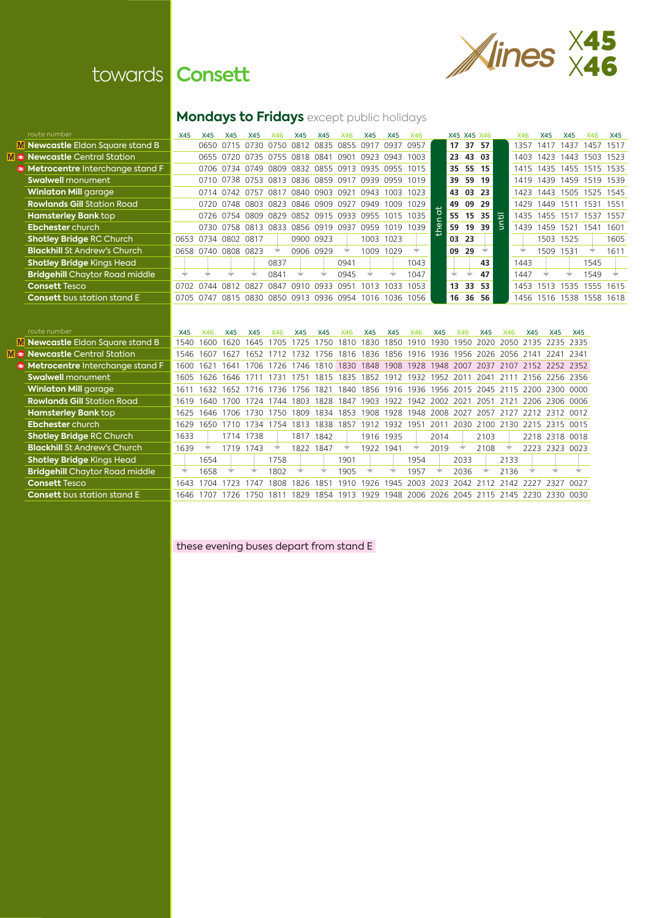

# towards **Consett**

# **Mondays to Fridays** except public holidays

| route number                          | X45  | X45                 | X45                           | <b>X45</b> | X46  | <b>X45</b> | <b>X45</b>                                        | X46  | X45  | X45       | X46       |   |                 | X45 X45 X46 |     |   | X46  | X45       | X45  | X46                      | <b>X45</b> |
|---------------------------------------|------|---------------------|-------------------------------|------------|------|------------|---------------------------------------------------|------|------|-----------|-----------|---|-----------------|-------------|-----|---|------|-----------|------|--------------------------|------------|
|                                       |      |                     |                               |            |      |            |                                                   |      |      |           |           |   |                 |             |     |   |      |           |      |                          |            |
| Newcastle Eldon Square stand B        |      | 0650.               |                               |            |      |            | 0715 0730 0750 0812 0835 0855 0917                |      |      | 0937      | 0957      |   | 17              | 37          | -57 |   | 1357 | 1417      | 1437 | 1457                     | 1517       |
| <b>Newcastle</b> Central Station      |      |                     | 0655 0720 0735 0755 0818 0841 |            |      |            |                                                   | 0901 | 0923 | 0943      | 1003      |   |                 | 23 43 03    |     |   | 1403 | 1423      | 1443 | 1503 1523                |            |
| Metrocentre Interchange stand F       |      |                     |                               |            |      |            | 0706 0734 0749 0809 0832 0855 0913 0935 0955 1015 |      |      |           |           |   |                 | 35 55 15    |     |   |      |           |      | 1415 1435 1455 1515 1535 |            |
| <b>Swalwell</b> monument              |      |                     |                               |            |      |            | 0710 0738 0753 0813 0836 0859 0917 0939           |      |      | 0959 1019 |           |   |                 | 39 59 19    |     |   | 1419 | 1439      | 1459 | 1519 1539                |            |
| <b>Winlaton Mill</b> garage           |      |                     |                               |            |      |            | 0714 0742 0757 0817 0840 0903 0921                |      | 0943 | 1003      | 1023      |   |                 | 43 03 23    |     |   |      |           |      | 1423 1443 1505 1525 1545 |            |
| <b>Rowlands Gill</b> Station Road     |      |                     | 0720 0748 0803                |            | 0823 |            | 0846 0909                                         | 0927 | 0949 | 1009      | 1029      |   |                 | 49 09 29    |     |   | 1429 | 1449      | 1511 | 1531                     | 1551       |
| <b>Hamsterley Bank</b> top            |      |                     |                               |            |      |            | 0726 0754 0809 0829 0852 0915 0933 0955 1015 1035 |      |      |           |           |   |                 | 55 15 35    |     | 击 |      |           |      | 1435 1455 1517 1537      | 1557       |
| <b>Ebchester</b> church               |      |                     | 0730 0758 0813 0833           |            |      | 0856       | 0919                                              | 0937 | 0959 | 1019      | 1039      | உ |                 | 59 19 39    |     |   | 1439 | 1459      | 1521 | 1541                     | 1601       |
| <b>Shotley Bridge RC Church</b>       | 0653 | 0734 0802 0817      |                               |            |      |            | 0900 0923                                         |      |      | 1003 1023 |           |   |                 | 03 23       |     |   |      | 1503 1525 |      |                          | 1605       |
| <b>Blackhill St Andrew's Church</b>   |      | 0658 0740 0808 0823 |                               |            |      |            | 0906 0929                                         |      | 1009 | 1029      |           |   | 09              | 29          |     |   |      | 1509      | 1531 |                          | 1611       |
| <b>Shotley Bridge Kings Head</b>      |      |                     |                               |            | 0837 |            |                                                   | 0941 |      |           | 1043      |   |                 |             | 43  |   | 1443 |           |      | 1545                     |            |
| <b>Bridgehill Chaytor Road middle</b> |      |                     |                               |            | 0841 |            |                                                   | 0945 |      |           | 1047      |   |                 |             | 47  |   | 1447 |           |      | 1549                     |            |
| <b>Consett T</b> esco                 | 0702 | 0744                | 0812 0827                     |            | 0847 | 0910       | 0933                                              | 0951 | 1013 | 1033      | 1053      |   | 13 <sup>1</sup> | 33          | -53 |   | 1453 | 1513      | 1535 | 1555                     | 1615       |
| <b>Consett</b> bus station stand E    |      | 0705 0747 0815 0830 |                               |            |      |            | 0850 0913 0936 0954                               |      | 1016 |           | 1036 1056 |   | 16              | 36          | -56 |   |      |           |      | 1456 1516 1538 1558 1618 |            |

**M** Newcastle Eldon Square star

**M**  $\triangleq$  **Newcastle** Central Station **Metrocentre** Interchange stand F **Swalwell monument Winlaton Mill garage Rowlands Gill Station Road Hamsterley Bank top Ebchester** church  $S$ **hotley Bridge** RC Church **Blackhill St Andrew's Church** 

**M** Newcastle Eldon Square stand B **M E** Newcastle Central Station **Metrocentre** Interchange stand F **Swalwell** monument **Winlaton Mill garage Rowlands Gill Station Road Hamsterley Bank top Ebchester** church **Shotley Bridge RC Church Blackhill St Andrew's Church Shotley Bridge** Kings Head<br>**Bridgehill** Chaytor Road middle **Consett Tesco Consett** bus station stand E

| route number                          | X45   | X46  | X45            | X45                      |                | X45       | <b>X45</b> | X46            | <b>X45</b>                         | <b>X45</b> | <b>X46</b> | <b>X45</b> |      | X45  |      | <b>X45</b> | <b>X45</b>                                                            | X45 |
|---------------------------------------|-------|------|----------------|--------------------------|----------------|-----------|------------|----------------|------------------------------------|------------|------------|------------|------|------|------|------------|-----------------------------------------------------------------------|-----|
| Newcastle Eldon Square stand B        | 1540. | 1600 | 1620           | 1645                     | 1705           | 1725      |            |                | 1750 1810 1830                     | 1850 1910  |            |            |      |      |      |            | 1930 1950 2020 2050 2135 2235 2335                                    |     |
| <b>Newcastle</b> Central Station      | 1546  | 1607 | 1627           | 1652                     | 1712           | 1732      | 1756       |                | 1816 1836 1856 1916                |            |            | 1936       |      |      |      |            | 1956 2026 2056 2141 2241 2341                                         |     |
| Metrocentre Interchange stand F       | 1600  | 1621 | 1641           | 1706                     |                |           |            |                |                                    |            |            |            |      |      |      |            | 1726 1746 1810 1830 1848 1908 1928 1948 2007 2037 2107 2152 2252 2352 |     |
| <b>Swalwell</b> monument              | 1605  | 1626 | 1646           |                          | 1711 1731 1751 |           |            |                | 1815 1835 1852 1912 1932 1952 2011 |            |            |            |      | 2041 |      |            | 2111 2156 2256 2356                                                   |     |
| <b>Winlaton Mill</b> garage           | 1611  |      |                | 1632 1652 1716 1736 1756 |                |           | 1821       |                | 1840 1856 1916 1936                |            |            |            |      |      |      |            | 1956 2015 2045 2115 2200 2300 0000                                    |     |
| <b>Rowlands Gill</b> Station Road     | 1619  |      | 1640 1700 1724 |                          | 1744           | 1803      |            | 1828 1847      | 1903                               | 1922       | 1942       | 2002 2021  |      | 2051 |      |            | 2121 2206 2306 0006                                                   |     |
| <b>Hamsterley Bank top</b>            | 1625  |      | 1646 1706 1730 |                          | 1750           | 1809      | 1834       |                | 1853 1908                          | 1928       |            |            |      |      |      |            | 1948 2008 2027 2057 2127 2212 2312 0012                               |     |
| <b>Ebchester</b> church               | 1629  |      |                | 1650 1710 1734           | 1754 1813      |           | 1838       | 1857           | 1912 1932                          |            | 1951       | 2011       |      |      |      |            | 2030 2100 2130 2215 2315 0015                                         |     |
| <b>Shotley Bridge RC Church</b>       | 1633  |      |                | 1714 1738                |                | 1817 1842 |            |                |                                    | 1916 1935  |            | 2014       |      | 2103 |      |            | 2218 2318 0018                                                        |     |
| <b>Blackhill St Andrew's Church</b>   | 1639  |      | 1719 1743      |                          |                | 1822 1847 |            | ₩              | 1922 1941                          |            |            | 2019       |      | 2108 |      |            | 2223 2323 0023                                                        |     |
| <b>Shotley Bridge Kings Head</b>      |       | 1654 |                |                          | 1758           |           |            | 1901           |                                    |            | 1954       |            | 2033 |      | 2133 |            |                                                                       |     |
| <b>Bridgehill</b> Chaytor Road middle | ÷     | 1658 |                |                          | 1802           |           |            | 1905           |                                    |            | 1957       |            | 2036 |      | 2136 |            |                                                                       |     |
| <b>Consett Tesco</b>                  | 1643  | 1704 | 1723           | 1747                     | 1808.          | 1826      | 1851       | 910            | 1926                               | 1945       | 2003       | 2023       | 2042 | 2112 | 2142 | 2227       | 2327 0027                                                             |     |
| <b>Consett</b> bus station stand E    | 1646  | 1707 | 1726           | 1750.                    | 1811           | 1829      |            | 1854 1913 1929 |                                    |            |            |            |      |      |      |            | 1948 2006 2026 2045 2115 2145 2230 2330 0030                          |     |
|                                       |       |      |                |                          |                |           |            |                |                                    |            |            |            |      |      |      |            |                                                                       |     |

these evening buses depart from stand E